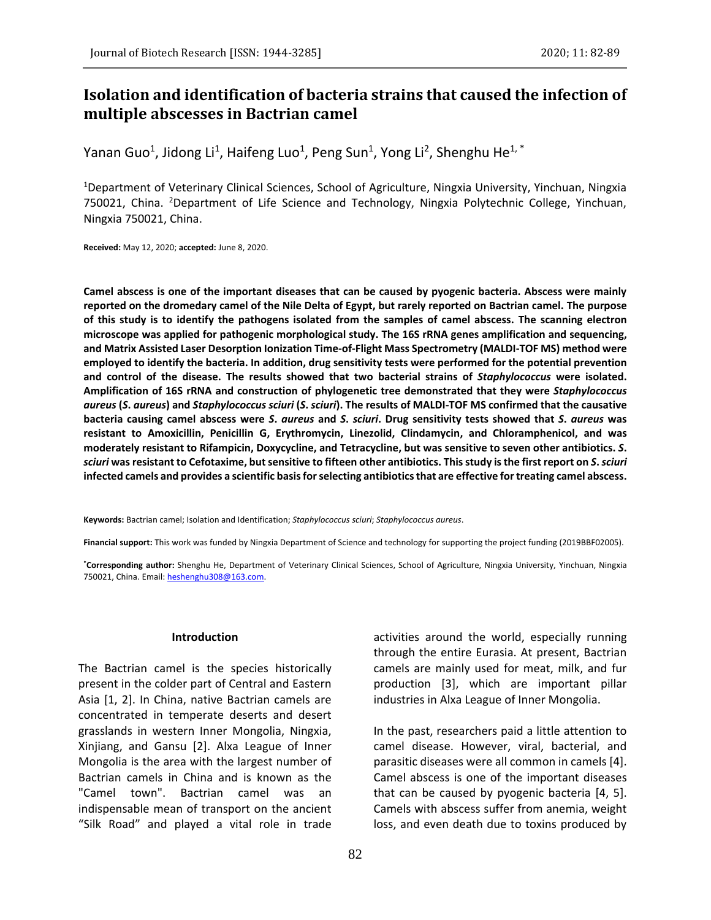# **Isolation and identification of bacteria strains that caused the infection of multiple abscesses in Bactrian camel**

Yanan Guo<sup>1</sup>, Jidong Li<sup>1</sup>, Haifeng Luo<sup>1</sup>, Peng Sun<sup>1</sup>, Yong Li<sup>2</sup>, Shenghu He<sup>1, \*</sup>

<sup>1</sup>Department of Veterinary Clinical Sciences, School of Agriculture, Ningxia University, Yinchuan, Ningxia 750021, China. <sup>2</sup>Department of Life Science and Technology, Ningxia Polytechnic College, Yinchuan, Ningxia 750021, China.

**Received:** May 12, 2020; **accepted:** June 8, 2020.

**Camel abscess is one of the important diseases that can be caused by pyogenic bacteria. Abscess were mainly reported on the dromedary camel of the Nile Delta of Egypt, but rarely reported on Bactrian camel. The purpose of this study is to identify the pathogens isolated from the samples of camel abscess. The scanning electron microscope was applied for pathogenic morphological study. The 16S rRNA genes amplification and sequencing, and Matrix Assisted Laser Desorption Ionization Time-of-Flight Mass Spectrometry (MALDI-TOF MS) method were employed to identify the bacteria. In addition, drug sensitivity tests were performed for the potential prevention and control of the disease. The results showed that two bacterial strains of** *Staphylococcus* **were isolated. Amplification of 16S rRNA and construction of phylogenetic tree demonstrated that they were** *Staphylococcus aureus* **(***S***.** *aureus***) and** *Staphylococcus sciuri* **(***S***.** *sciuri***). The results of MALDI-TOF MS confirmed that the causative bacteria causing camel abscess were** *S***.** *aureus* **and** *S***.** *sciuri***. Drug sensitivity tests showed that** *S***.** *aureus* **was resistant to Amoxicillin, Penicillin G, Erythromycin, Linezolid, Clindamycin, and Chloramphenicol, and was moderately resistant to Rifampicin, Doxycycline, and Tetracycline, but was sensitive to seven other antibiotics.** *S***.**  *sciuri* **was resistant to Cefotaxime, butsensitive to fifteen other antibiotics. This study is the first report on** *S***.** *sciuri* **infected camels and provides a scientific basis for selecting antibiotics that are effective for treating camel abscess.**

**Keywords:** Bactrian camel; Isolation and Identification; *Staphylococcus sciuri*; *Staphylococcus aureus*.

**Financial support:** This work was funded by Ningxia Department of Science and technology for supporting the project funding (2019BBF02005).

**\*Corresponding author:** Shenghu He, Department of Veterinary Clinical Sciences, School of Agriculture, Ningxia University, Yinchuan, Ningxia 750021, China. Email: heshenghu308@163.com.

#### **Introduction**

The Bactrian camel is the species historically present in the colder part of Central and Eastern Asia [1, 2]. In China, native Bactrian camels are concentrated in temperate deserts and desert grasslands in western Inner Mongolia, Ningxia, Xinjiang, and Gansu [2]. Alxa League of Inner Mongolia is the area with the largest number of Bactrian camels in China and is known as the "Camel town". Bactrian camel was an indispensable mean of transport on the ancient "Silk Road" and played a vital role in trade

activities around the world, especially running through the entire Eurasia. At present, Bactrian camels are mainly used for meat, milk, and fur production [3], which are important pillar industries in Alxa League of Inner Mongolia.

In the past, researchers paid a little attention to camel disease. However, viral, bacterial, and parasitic diseases were all common in camels [4]. Camel abscess is one of the important diseases that can be caused by pyogenic bacteria [4, 5]. Camels with abscess suffer from anemia, weight loss, and even death due to toxins produced by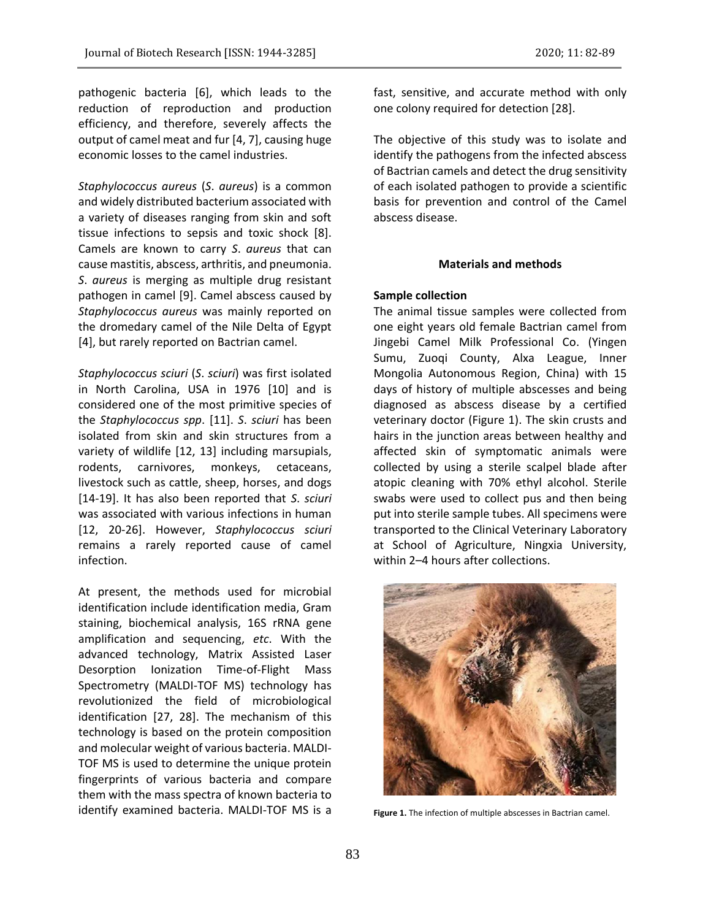pathogenic bacteria [6], which leads to the reduction of reproduction and production efficiency, and therefore, severely affects the output of camel meat and fur [4, 7], causing huge economic losses to the camel industries.

*Staphylococcus aureus* (*S*. *aureus*) is a common and widely distributed bacterium associated with a variety of diseases ranging from skin and soft tissue infections to sepsis and toxic shock [8]. Camels are known to carry *S*. *aureus* that can cause mastitis, abscess, arthritis, and pneumonia. *S*. *aureus* is merging as multiple drug resistant pathogen in camel [9]. Camel abscess caused by *Staphylococcus aureus* was mainly reported on the dromedary camel of the Nile Delta of Egypt [4], but rarely reported on Bactrian camel.

*Staphylococcus sciuri* (*S*. *sciuri*) was first isolated in North Carolina, USA in 1976 [10] and is considered one of the most primitive species of the *Staphylococcus spp*. [11]. *S*. *sciuri* has been isolated from skin and skin structures from a variety of wildlife [12, 13] including marsupials, rodents, carnivores, monkeys, cetaceans, livestock such as cattle, sheep, horses, and dogs [14-19]. It has also been reported that *S*. *sciuri* was associated with various infections in human [12, 20-26]. However, *Staphylococcus sciuri* remains a rarely reported cause of camel infection.

At present, the methods used for microbial identification include identification media, Gram staining, biochemical analysis, 16S rRNA gene amplification and sequencing, *etc*. With the advanced technology, Matrix Assisted Laser Desorption Ionization Time-of-Flight Mass Spectrometry (MALDI-TOF MS) technology has revolutionized the field of microbiological identification [27, 28]. The mechanism of this technology is based on the protein composition and molecular weight of various bacteria. MALDI-TOF MS is used to determine the unique protein fingerprints of various bacteria and compare them with the mass spectra of known bacteria to identify examined bacteria. MALDI-TOF MS is a

fast, sensitive, and accurate method with only one colony required for detection [28].

The objective of this study was to isolate and identify the pathogens from the infected abscess of Bactrian camels and detect the drug sensitivity of each isolated pathogen to provide a scientific basis for prevention and control of the Camel abscess disease.

# **Materials and methods**

# **Sample collection**

The animal tissue samples were collected from one eight years old female Bactrian camel from Jingebi Camel Milk Professional Co. (Yingen Sumu, Zuoqi County, Alxa League, Inner Mongolia Autonomous Region, China) with 15 days of history of multiple abscesses and being diagnosed as abscess disease by a certified veterinary doctor (Figure 1). The skin crusts and hairs in the junction areas between healthy and affected skin of symptomatic animals were collected by using a sterile scalpel blade after atopic cleaning with 70% ethyl alcohol. Sterile swabs were used to collect pus and then being put into sterile sample tubes. All specimens were transported to the Clinical Veterinary Laboratory at School of Agriculture, Ningxia University, within 2–4 hours after collections.



**Figure 1.** The infection of multiple abscesses in Bactrian camel.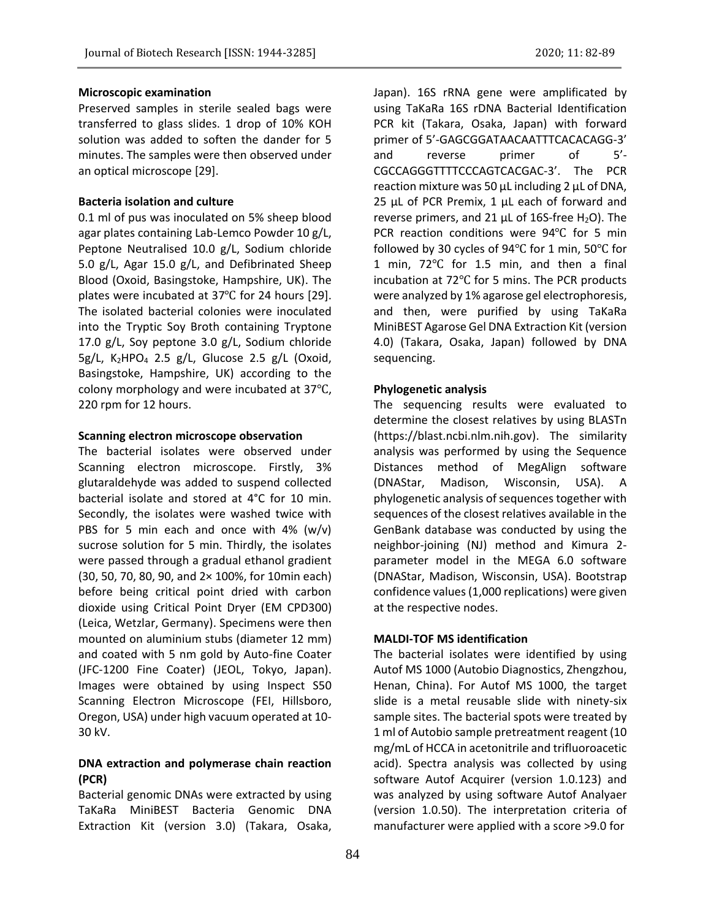Preserved samples in sterile sealed bags were transferred to glass slides. 1 drop of 10% KOH solution was added to soften the dander for 5 minutes. The samples were then observed under an optical microscope [29].

#### **Bacteria isolation and culture**

0.1 ml of pus was inoculated on 5% sheep blood agar plates containing Lab-Lemco Powder 10 g/L, Peptone Neutralised 10.0 g/L, Sodium chloride 5.0 g/L, Agar 15.0 g/L, and Defibrinated Sheep Blood (Oxoid, Basingstoke, Hampshire, UK). The plates were incubated at 37℃ for 24 hours [29]. The isolated bacterial colonies were inoculated into the Tryptic Soy Broth containing Tryptone 17.0 g/L, Soy peptone 3.0 g/L, Sodium chloride 5g/L, K<sub>2</sub>HPO<sub>4</sub> 2.5 g/L, Glucose 2.5 g/L (Oxoid, Basingstoke, Hampshire, UK) according to the colony morphology and were incubated at 37℃, 220 rpm for 12 hours.

# **Scanning electron microscope observation**

The bacterial isolates were observed under Scanning electron microscope. Firstly, 3% glutaraldehyde was added to suspend collected bacterial isolate and stored at 4°C for 10 min. Secondly, the isolates were washed twice with PBS for 5 min each and once with 4%  $(w/v)$ sucrose solution for 5 min. Thirdly, the isolates were passed through a gradual ethanol gradient (30, 50, 70, 80, 90, and 2× 100%, for 10min each) before being critical point dried with carbon dioxide using Critical Point Dryer (EM CPD300) (Leica, Wetzlar, Germany). Specimens were then mounted on aluminium stubs (diameter 12 mm) and coated with 5 nm gold by Auto-fine Coater (JFC-1200 Fine Coater) (JEOL, Tokyo, Japan). Images were obtained by using Inspect S50 Scanning Electron Microscope (FEI, Hillsboro, Oregon, USA) under high vacuum operated at 10- 30 kV.

# **DNA extraction and polymerase chain reaction (PCR)**

Bacterial genomic DNAs were extracted by using TaKaRa MiniBEST Bacteria Genomic DNA Extraction Kit (version 3.0) (Takara, Osaka,

Japan). 16S rRNA gene were amplificated by using TaKaRa 16S rDNA Bacterial Identification PCR kit (Takara, Osaka, Japan) with forward primer of 5'-GAGCGGATAACAATTTCACACAGG-3' and reverse primer of 5'- CGCCAGGGTTTTCCCAGTCACGAC-3'. The PCR reaction mixture was 50 μL including 2 μL of DNA, 25 μL of PCR Premix, 1 μL each of forward and reverse primers, and 21  $\mu$ L of 16S-free H<sub>2</sub>O). The PCR reaction conditions were 94℃ for 5 min followed by 30 cycles of 94℃ for 1 min, 50℃ for 1 min, 72℃ for 1.5 min, and then a final incubation at 72℃ for 5 mins. The PCR products were analyzed by 1% agarose gel electrophoresis, and then, were purified by using TaKaRa MiniBEST Agarose Gel DNA Extraction Kit (version 4.0) (Takara, Osaka, Japan) followed by DNA sequencing.

# **Phylogenetic analysis**

The sequencing results were evaluated to determine the closest relatives by using BLASTn (https://blast.ncbi.nlm.nih.gov). The similarity analysis was performed by using the Sequence Distances method of MegAlign software (DNAStar, Madison, Wisconsin, USA). A phylogenetic analysis of sequences together with sequences of the closest relatives available in the GenBank database was conducted by using the neighbor-joining (NJ) method and Kimura 2 parameter model in the MEGA 6.0 software (DNAStar, Madison, Wisconsin, USA). Bootstrap confidence values (1,000 replications) were given at the respective nodes.

# **MALDI-TOF MS identification**

The bacterial isolates were identified by using Autof MS 1000 (Autobio Diagnostics, Zhengzhou, Henan, China). For Autof MS 1000, the target slide is a metal reusable slide with ninety-six sample sites. The bacterial spots were treated by 1 ml of Autobio sample pretreatment reagent (10 mg/mL of HCCA in acetonitrile and trifluoroacetic acid). Spectra analysis was collected by using software Autof Acquirer (version 1.0.123) and was analyzed by using software Autof Analyaer (version 1.0.50). The interpretation criteria of manufacturer were applied with a score >9.0 for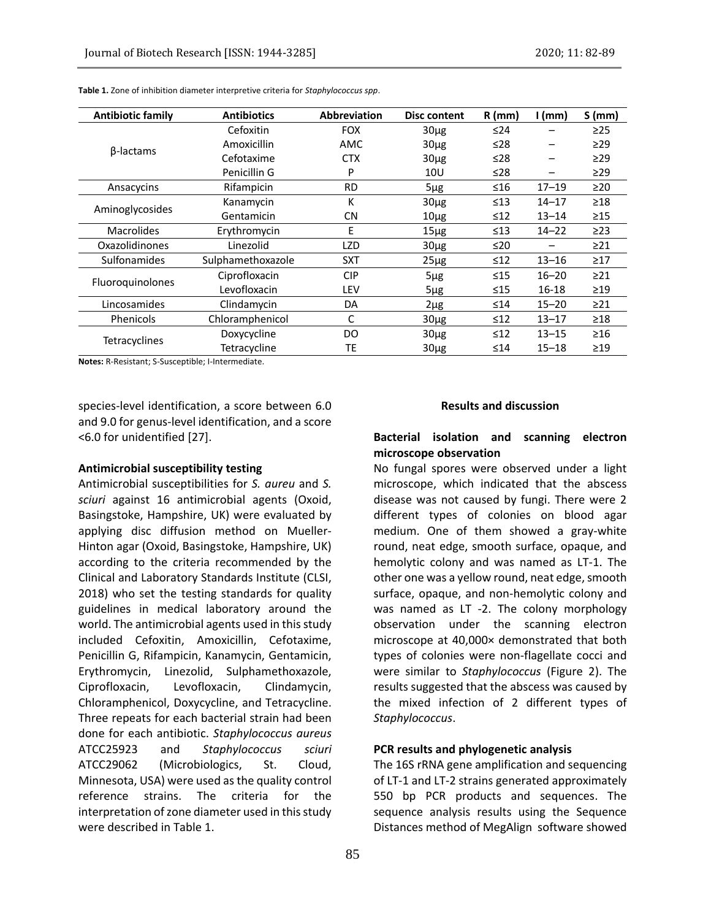| <b>Antibiotic family</b> | <b>Antibiotics</b>                  | <b>Abbreviation</b> | Disc content | $R$ (mm)  | $1$ (mm)  | S(mm)     |
|--------------------------|-------------------------------------|---------------------|--------------|-----------|-----------|-----------|
| β-lactams                | Cefoxitin                           | <b>FOX</b>          | $30\mug$     | ≤24       |           | $\geq$ 25 |
|                          | Amoxicillin                         | <b>AMC</b>          | $30\mug$     | ≤28       |           | $\geq$ 29 |
|                          | Cefotaxime                          | <b>CTX</b>          | $30\mug$     | ≤28       |           | $\geq$ 29 |
|                          | Penicillin G                        | P                   | 10U          | ≤28       |           | $\geq$ 29 |
| Ansacycins               | Rifampicin<br><b>RD</b><br>$5\mu g$ |                     |              | ≤16       | $17 - 19$ | $\geq$ 20 |
| Aminoglycosides          | Kanamycin                           | Κ                   | $30\mug$     | $\leq 13$ | $14 - 17$ | $\geq$ 18 |
|                          | Gentamicin                          | <b>CN</b>           | $10\mug$     | $\leq 12$ | $13 - 14$ | $\geq$ 15 |
| <b>Macrolides</b>        | Erythromycin                        | E                   | $15\mug$     | $\leq 13$ | $14 - 22$ | $\geq$ 23 |
| Oxazolidinones           | Linezolid                           | LZD                 | $30\mug$     | ≤20       |           | $\geq$ 21 |
| Sulfonamides             | Sulphamethoxazole                   | <b>SXT</b>          | $25\mu g$    | $\leq 12$ | $13 - 16$ | $\geq$ 17 |
| Fluoroquinolones         | Ciprofloxacin                       | <b>CIP</b>          | $5\mug$      | $\leq 15$ | $16 - 20$ | $\geq$ 21 |
|                          | Levofloxacin                        | LEV                 | $5\mug$      | $\leq 15$ | 16-18     | $\geq$ 19 |
| Lincosamides             | Clindamycin                         | DA                  | $2\mu$ g     | $\leq 14$ | $15 - 20$ | $\geq$ 21 |
| Phenicols                | Chloramphenicol                     | C                   | $30\mug$     | $\leq 12$ | $13 - 17$ | $\geq$ 18 |
| <b>Tetracyclines</b>     | Doxycycline                         | DO.                 | $30\mug$     | $\leq 12$ | $13 - 15$ | $\geq 16$ |
|                          | Tetracycline                        | TE                  | $30\mug$     | $\leq 14$ | $15 - 18$ | $\geq$ 19 |

**Table 1.** Zone of inhibition diameter interpretive criteria for *Staphylococcus spp*.

**Notes:** R-Resistant; S-Susceptible; I-Intermediate.

species-level identification, a score between 6.0 and 9.0 for genus-level identification, and a score <6.0 for unidentified [27].

#### **Antimicrobial susceptibility testing**

Antimicrobial susceptibilities for *S. aureu* and *S. sciuri* against 16 antimicrobial agents (Oxoid, Basingstoke, Hampshire, UK) were evaluated by applying disc diffusion method on Mueller-Hinton agar (Oxoid, Basingstoke, Hampshire, UK) according to the criteria recommended by the Clinical and Laboratory Standards Institute (CLSI, 2018) who set the testing standards for quality guidelines in medical laboratory around the world. The antimicrobial agents used in this study included Cefoxitin, Amoxicillin, Cefotaxime, Penicillin G, Rifampicin, Kanamycin, Gentamicin, Erythromycin, Linezolid, Sulphamethoxazole, Ciprofloxacin, Levofloxacin, Clindamycin, Chloramphenicol, Doxycycline, and Tetracycline. Three repeats for each bacterial strain had been done for each antibiotic. *Staphylococcus aureus* ATCC25923 and *Staphylococcus sciuri* ATCC29062 (Microbiologics, St. Cloud, Minnesota, USA) were used as the quality control reference strains. The criteria for the interpretation of zone diameter used in this study were described in Table 1.

# **Results and discussion**

# **Bacterial isolation and scanning electron microscope observation**

No fungal spores were observed under a light microscope, which indicated that the abscess disease was not caused by fungi. There were 2 different types of colonies on blood agar medium. One of them showed a gray-white round, neat edge, smooth surface, opaque, and hemolytic colony and was named as LT-1. The other one was a yellow round, neat edge, smooth surface, opaque, and non-hemolytic colony and was named as LT -2. The colony morphology observation under the scanning electron microscope at 40,000× demonstrated that both types of colonies were non-flagellate cocci and were similar to *Staphylococcus* (Figure 2). The results suggested that the abscess was caused by the mixed infection of 2 different types of *Staphylococcus*.

## **PCR results and phylogenetic analysis**

The 16S rRNA gene amplification and sequencing of LT-1 and LT-2 strains generated approximately 550 bp PCR products and sequences. The sequence analysis results using the Sequence Distances method of MegAlign software showed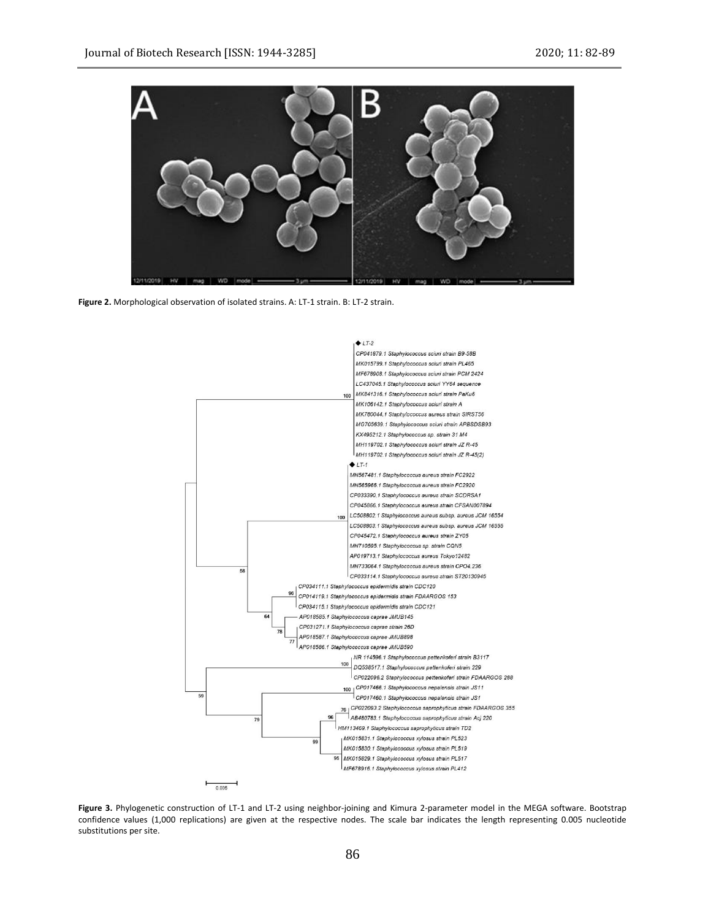

**Figure 2.** Morphological observation of isolated strains. A: LT-1 strain. B: LT-2 strain.



**Figure 3.** Phylogenetic construction of LT-1 and LT-2 using neighbor-joining and Kimura 2-parameter model in the MEGA software. Bootstrap confidence values (1,000 replications) are given at the respective nodes. The scale bar indicates the length representing 0.005 nucleotide substitutions per site.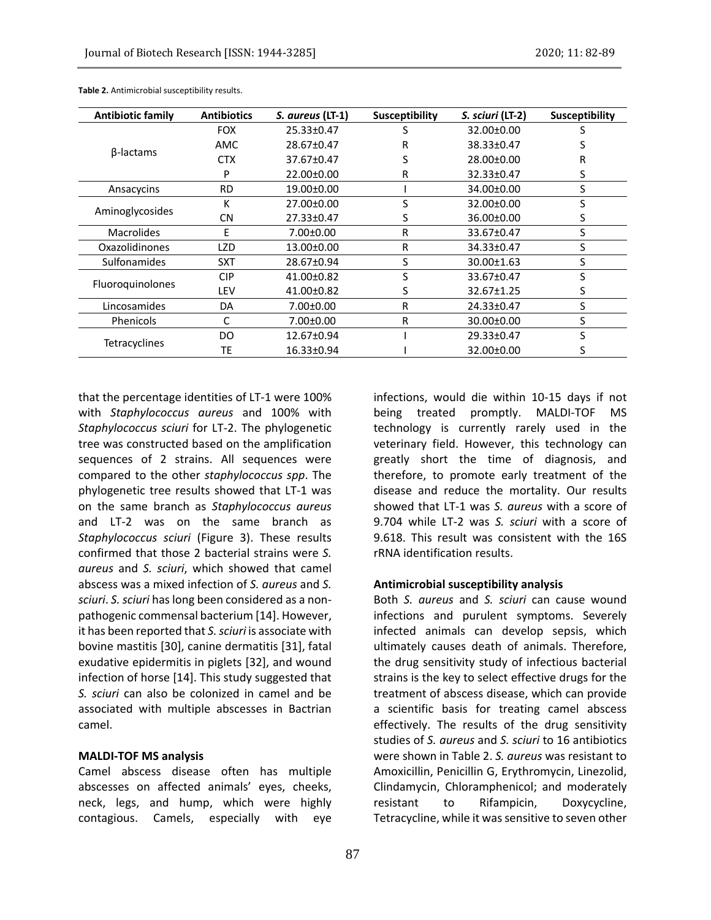| <b>Antibiotic family</b> | <b>Antibiotics</b> | S. aureus (LT-1) | Susceptibility | S. sciuri (LT-2) | Susceptibility |  |
|--------------------------|--------------------|------------------|----------------|------------------|----------------|--|
| β-lactams                | <b>FOX</b>         | 25.33±0.47       |                | 32.00±0.00       |                |  |
|                          | <b>AMC</b>         | 28.67±0.47       | R              | 38.33±0.47       |                |  |
|                          | <b>CTX</b>         | 37.67±0.47       |                | 28.00±0.00       | R              |  |
|                          | P                  | 22.00±0.00       | R              | 32.33±0.47       | S.             |  |
| Ansacycins               | <b>RD</b>          | 19.00±0.00       |                | 34.00±0.00       | S              |  |
| Aminoglycosides          | К                  | 27.00±0.00       | S              | 32.00±0.00       | S              |  |
|                          | CN                 | 27.33±0.47       | S              | 36.00±0.00       | S              |  |
| <b>Macrolides</b>        | E                  | 7.00±0.00        | R              | 33.67±0.47       | S              |  |
| Oxazolidinones           | <b>LZD</b>         | 13.00±0.00       | R              | 34.33±0.47       | S              |  |
| <b>Sulfonamides</b>      | <b>SXT</b>         | 28.67±0.94       | S              | 30.00±1.63       | S.             |  |
| <b>Fluoroguinolones</b>  | <b>CIP</b>         | 41.00±0.82       | S              | 33.67±0.47       | S              |  |
|                          | LEV                | 41.00±0.82       | S              | 32.67±1.25       | S              |  |
| Lincosamides             | DA                 | $7.00 \pm 0.00$  | R              | 24.33±0.47       | S              |  |
| Phenicols                | C                  | 7.00±0.00        | R              | 30.00±0.00       | S              |  |
| Tetracyclines            | DO.                | 12.67±0.94       |                | 29.33±0.47       | S              |  |
|                          | ТE                 | 16.33±0.94       |                | 32.00±0.00       | S              |  |

**Table 2.** Antimicrobial susceptibility results.

that the percentage identities of LT-1 were 100% with *Staphylococcus aureus* and 100% with *Staphylococcus sciuri* for LT-2. The phylogenetic tree was constructed based on the amplification sequences of 2 strains. All sequences were compared to the other *staphylococcus spp*. The phylogenetic tree results showed that LT-1 was on the same branch as *Staphylococcus aureus* and LT-2 was on the same branch as *Staphylococcus sciuri* (Figure 3). These results confirmed that those 2 bacterial strains were *S. aureus* and *S. sciuri*, which showed that camel abscess was a mixed infection of *S. aureus* and *S. sciuri*. *S. sciuri* has long been considered as a nonpathogenic commensal bacterium [14]. However, it has been reported that *S. sciuri* is associate with bovine mastitis [30], canine dermatitis [31], fatal exudative epidermitis in piglets [32], and wound infection of horse [14]. This study suggested that *S. sciuri* can also be colonized in camel and be associated with multiple abscesses in Bactrian camel.

# **MALDI-TOF MS analysis**

Camel abscess disease often has multiple abscesses on affected animals' eyes, cheeks, neck, legs, and hump, which were highly contagious. Camels, especially with eye infections, would die within 10-15 days if not being treated promptly. MALDI-TOF MS technology is currently rarely used in the veterinary field. However, this technology can greatly short the time of diagnosis, and therefore, to promote early treatment of the disease and reduce the mortality. Our results showed that LT-1 was *S. aureus* with a score of 9.704 while LT-2 was *S. sciuri* with a score of 9.618. This result was consistent with the 16S rRNA identification results.

# **Antimicrobial susceptibility analysis**

Both *S. aureus* and *S. sciuri* can cause wound infections and purulent symptoms. Severely infected animals can develop sepsis, which ultimately causes death of animals. Therefore, the drug sensitivity study of infectious bacterial strains is the key to select effective drugs for the treatment of abscess disease, which can provide a scientific basis for treating camel abscess effectively. The results of the drug sensitivity studies of *S. aureus* and *S. sciuri* to 16 antibiotics were shown in Table 2. *S. aureus* was resistant to Amoxicillin, Penicillin G, Erythromycin, Linezolid, Clindamycin, Chloramphenicol; and moderately resistant to Rifampicin, Doxycycline, Tetracycline, while it was sensitive to seven other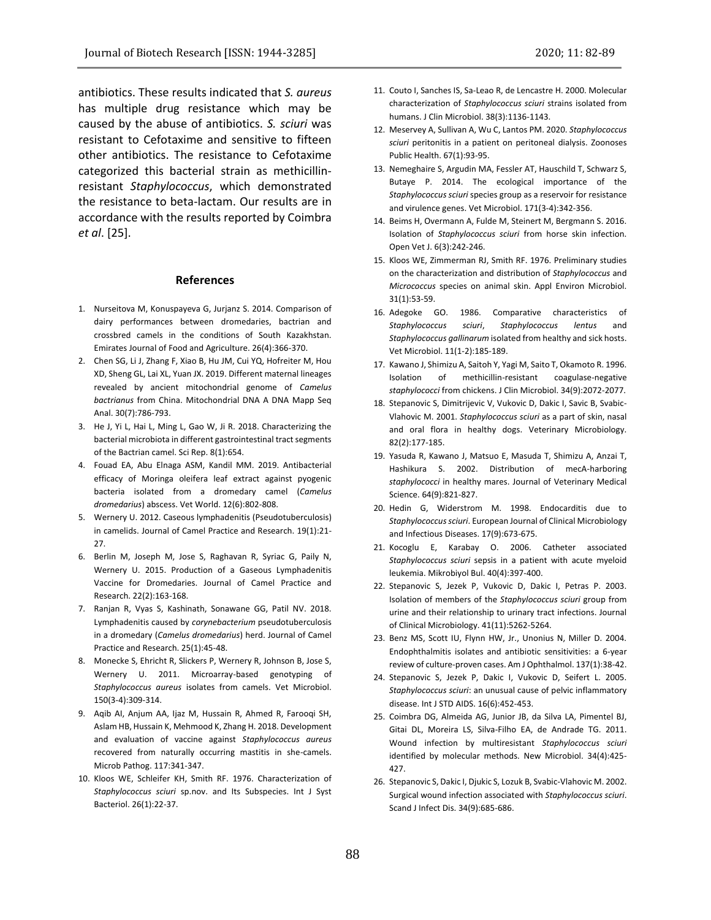antibiotics. These results indicated that *S. aureus* has multiple drug resistance which may be caused by the abuse of antibiotics. *S. sciuri* was resistant to Cefotaxime and sensitive to fifteen other antibiotics. The resistance to Cefotaxime categorized this bacterial strain as methicillinresistant *Staphylococcus*, which demonstrated the resistance to beta-lactam. Our results are in accordance with the results reported by Coimbra *et al*. [25].

## **References**

- 1. Nurseitova M, Konuspayeva G, Jurjanz S. 2014. Comparison of dairy performances between dromedaries, bactrian and crossbred camels in the conditions of South Kazakhstan. Emirates Journal of Food and Agriculture. 26(4):366-370.
- 2. Chen SG, Li J, Zhang F, Xiao B, Hu JM, Cui YQ, Hofreiter M, Hou XD, Sheng GL, Lai XL, Yuan JX. 2019. Different maternal lineages revealed by ancient mitochondrial genome of *Camelus bactrianus* from China. Mitochondrial DNA A DNA Mapp Seq Anal. 30(7):786-793.
- 3. He J, Yi L, Hai L, Ming L, Gao W, Ji R. 2018. Characterizing the bacterial microbiota in different gastrointestinal tract segments of the Bactrian camel. Sci Rep. 8(1):654.
- 4. Fouad EA, Abu Elnaga ASM, Kandil MM. 2019. Antibacterial efficacy of Moringa oleifera leaf extract against pyogenic bacteria isolated from a dromedary camel (*Camelus dromedarius*) abscess. Vet World. 12(6):802-808.
- 5. Wernery U. 2012. Caseous lymphadenitis (Pseudotuberculosis) in camelids. Journal of Camel Practice and Research. 19(1):21- 27.
- 6. Berlin M, Joseph M, Jose S, Raghavan R, Syriac G, Paily N, Wernery U. 2015. Production of a Gaseous Lymphadenitis Vaccine for Dromedaries. Journal of Camel Practice and Research. 22(2):163-168.
- 7. Ranjan R, Vyas S, Kashinath, Sonawane GG, Patil NV. 2018. Lymphadenitis caused by *corynebacterium* pseudotuberculosis in a dromedary (*Camelus dromedarius*) herd. Journal of Camel Practice and Research. 25(1):45-48.
- 8. Monecke S, Ehricht R, Slickers P, Wernery R, Johnson B, Jose S, Wernery U. 2011. Microarray-based genotyping of *Staphylococcus aureus* isolates from camels. Vet Microbiol. 150(3-4):309-314.
- 9. Aqib AI, Anjum AA, Ijaz M, Hussain R, Ahmed R, Farooqi SH, Aslam HB, Hussain K, Mehmood K, Zhang H. 2018. Development and evaluation of vaccine against *Staphylococcus aureus* recovered from naturally occurring mastitis in she-camels. Microb Pathog. 117:341-347.
- 10. Kloos WE, Schleifer KH, Smith RF. 1976. Characterization of *Staphylococcus sciuri* sp.nov. and Its Subspecies. Int J Syst Bacteriol. 26(1):22-37.
- 11. Couto I, Sanches IS, Sa-Leao R, de Lencastre H. 2000. Molecular characterization of *Staphylococcus sciuri* strains isolated from humans. J Clin Microbiol. 38(3):1136-1143.
- 12. Meservey A, Sullivan A, Wu C, Lantos PM. 2020. *Staphylococcus sciuri* peritonitis in a patient on peritoneal dialysis. Zoonoses Public Health. 67(1):93-95.
- 13. Nemeghaire S, Argudin MA, Fessler AT, Hauschild T, Schwarz S, Butaye P. 2014. The ecological importance of the *Staphylococcus sciuri* species group as a reservoir for resistance and virulence genes. Vet Microbiol. 171(3-4):342-356.
- 14. Beims H, Overmann A, Fulde M, Steinert M, Bergmann S. 2016. Isolation of *Staphylococcus sciuri* from horse skin infection. Open Vet J. 6(3):242-246.
- 15. Kloos WE, Zimmerman RJ, Smith RF. 1976. Preliminary studies on the characterization and distribution of *Staphylococcus* and *Micrococcus* species on animal skin. Appl Environ Microbiol. 31(1):53-59.
- 16. Adegoke GO. 1986. Comparative characteristics of *Staphylococcus sciuri*, *Staphylococcus lentus* and *Staphylococcus gallinarum* isolated from healthy and sick hosts. Vet Microbiol. 11(1-2):185-189.
- 17. Kawano J, Shimizu A, Saitoh Y, Yagi M, Saito T, Okamoto R. 1996. Isolation of methicillin-resistant coagulase-negative *staphylococci* from chickens. J Clin Microbiol. 34(9):2072-2077.
- 18. Stepanovic S, Dimitrijevic V, Vukovic D, Dakic I, Savic B, Svabic-Vlahovic M. 2001. *Staphylococcus sciuri* as a part of skin, nasal and oral flora in healthy dogs. Veterinary Microbiology. 82(2):177-185.
- 19. Yasuda R, Kawano J, Matsuo E, Masuda T, Shimizu A, Anzai T, Hashikura S. 2002. Distribution of mecA-harboring *staphylococci* in healthy mares. Journal of Veterinary Medical Science. 64(9):821-827.
- 20. Hedin G, Widerstrom M. 1998. Endocarditis due to *Staphylococcus sciuri*. European Journal of Clinical Microbiology and Infectious Diseases. 17(9):673-675.
- 21. Kocoglu E, Karabay O. 2006. Catheter associated *Staphylococcus sciuri* sepsis in a patient with acute myeloid leukemia. Mikrobiyol Bul. 40(4):397-400.
- 22. Stepanovic S, Jezek P, Vukovic D, Dakic I, Petras P. 2003. Isolation of members of the *Staphylococcus sciuri* group from urine and their relationship to urinary tract infections. Journal of Clinical Microbiology. 41(11):5262-5264.
- 23. Benz MS, Scott IU, Flynn HW, Jr., Unonius N, Miller D. 2004. Endophthalmitis isolates and antibiotic sensitivities: a 6-year review of culture-proven cases. Am J Ophthalmol. 137(1):38-42.
- 24. Stepanovic S, Jezek P, Dakic I, Vukovic D, Seifert L. 2005. *Staphylococcus sciuri*: an unusual cause of pelvic inflammatory disease. Int J STD AIDS. 16(6):452-453.
- 25. Coimbra DG, Almeida AG, Junior JB, da Silva LA, Pimentel BJ, Gitai DL, Moreira LS, Silva-Filho EA, de Andrade TG. 2011. Wound infection by multiresistant *Staphylococcus sciuri* identified by molecular methods. New Microbiol. 34(4):425- 427.
- 26. Stepanovic S, Dakic I, Djukic S, Lozuk B, Svabic-Vlahovic M. 2002. Surgical wound infection associated with *Staphylococcus sciuri*. Scand J Infect Dis. 34(9):685-686.